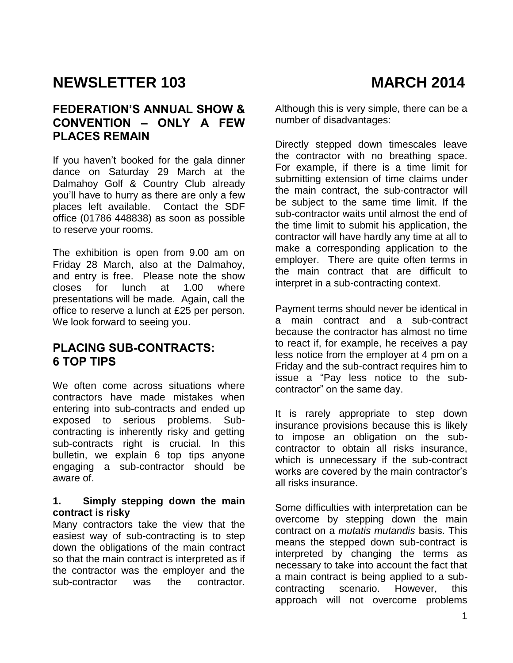# **NEWSLETTER 103** MARCH 2014

### **FEDERATION'S ANNUAL SHOW & CONVENTION – ONLY A FEW PLACES REMAIN**

If you haven't booked for the gala dinner dance on Saturday 29 March at the Dalmahoy Golf & Country Club already you'll have to hurry as there are only a few places left available. Contact the SDF office (01786 448838) as soon as possible to reserve your rooms.

The exhibition is open from 9.00 am on Friday 28 March, also at the Dalmahoy, and entry is free. Please note the show closes for lunch at 1.00 where presentations will be made. Again, call the office to reserve a lunch at £25 per person. We look forward to seeing you.

### **PLACING SUB-CONTRACTS: 6 TOP TIPS**

We often come across situations where contractors have made mistakes when entering into sub-contracts and ended up exposed to serious problems. Subcontracting is inherently risky and getting sub-contracts right is crucial. In this bulletin, we explain 6 top tips anyone engaging a sub-contractor should be aware of.

#### **1. Simply stepping down the main contract is risky**

Many contractors take the view that the easiest way of sub-contracting is to step down the obligations of the main contract so that the main contract is interpreted as if the contractor was the employer and the sub-contractor was the contractor. Although this is very simple, there can be a number of disadvantages:

Directly stepped down timescales leave the contractor with no breathing space. For example, if there is a time limit for submitting extension of time claims under the main contract, the sub-contractor will be subject to the same time limit. If the sub-contractor waits until almost the end of the time limit to submit his application, the contractor will have hardly any time at all to make a corresponding application to the employer. There are quite often terms in the main contract that are difficult to interpret in a sub-contracting context.

Payment terms should never be identical in a main contract and a sub-contract because the contractor has almost no time to react if, for example, he receives a pay less notice from the employer at 4 pm on a Friday and the sub-contract requires him to issue a "Pay less notice to the subcontractor" on the same day.

It is rarely appropriate to step down insurance provisions because this is likely to impose an obligation on the subcontractor to obtain all risks insurance, which is unnecessary if the sub-contract works are covered by the main contractor's all risks insurance.

Some difficulties with interpretation can be overcome by stepping down the main contract on a *mutatis mutandis* basis. This means the stepped down sub-contract is interpreted by changing the terms as necessary to take into account the fact that a main contract is being applied to a subcontracting scenario. However, this approach will not overcome problems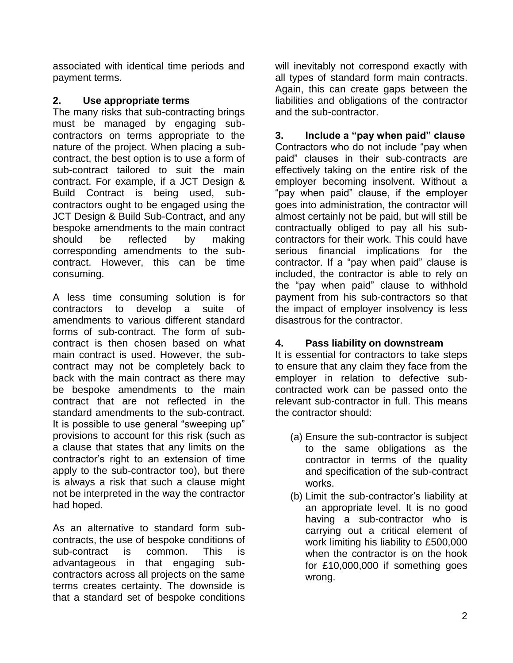associated with identical time periods and payment terms.

#### **2. Use appropriate terms**

The many risks that sub-contracting brings must be managed by engaging subcontractors on terms appropriate to the nature of the project. When placing a subcontract, the best option is to use a form of sub-contract tailored to suit the main contract. For example, if a JCT Design & Build Contract is being used, subcontractors ought to be engaged using the JCT Design & Build Sub-Contract, and any bespoke amendments to the main contract should be reflected by making corresponding amendments to the subcontract. However, this can be time consuming.

A less time consuming solution is for contractors to develop a suite of amendments to various different standard forms of sub-contract. The form of subcontract is then chosen based on what main contract is used. However, the subcontract may not be completely back to back with the main contract as there may be bespoke amendments to the main contract that are not reflected in the standard amendments to the sub-contract. It is possible to use general "sweeping up" provisions to account for this risk (such as a clause that states that any limits on the contractor's right to an extension of time apply to the sub-contractor too), but there is always a risk that such a clause might not be interpreted in the way the contractor had hoped.

As an alternative to standard form subcontracts, the use of bespoke conditions of sub-contract is common. This is advantageous in that engaging subcontractors across all projects on the same terms creates certainty. The downside is that a standard set of bespoke conditions will inevitably not correspond exactly with all types of standard form main contracts. Again, this can create gaps between the liabilities and obligations of the contractor and the sub-contractor.

**3. Include a "pay when paid" clause**  Contractors who do not include "pay when paid" clauses in their sub-contracts are effectively taking on the entire risk of the employer becoming insolvent. Without a "pay when paid" clause, if the employer goes into administration, the contractor will almost certainly not be paid, but will still be contractually obliged to pay all his subcontractors for their work. This could have serious financial implications for the contractor. If a "pay when paid" clause is included, the contractor is able to rely on the "pay when paid" clause to withhold payment from his sub-contractors so that the impact of employer insolvency is less disastrous for the contractor.

### **4. Pass liability on downstream**

It is essential for contractors to take steps to ensure that any claim they face from the employer in relation to defective subcontracted work can be passed onto the relevant sub-contractor in full. This means the contractor should:

- (a) Ensure the sub-contractor is subject to the same obligations as the contractor in terms of the quality and specification of the sub-contract works.
- (b) Limit the sub-contractor's liability at an appropriate level. It is no good having a sub-contractor who is carrying out a critical element of work limiting his liability to £500,000 when the contractor is on the hook for £10,000,000 if something goes wrong.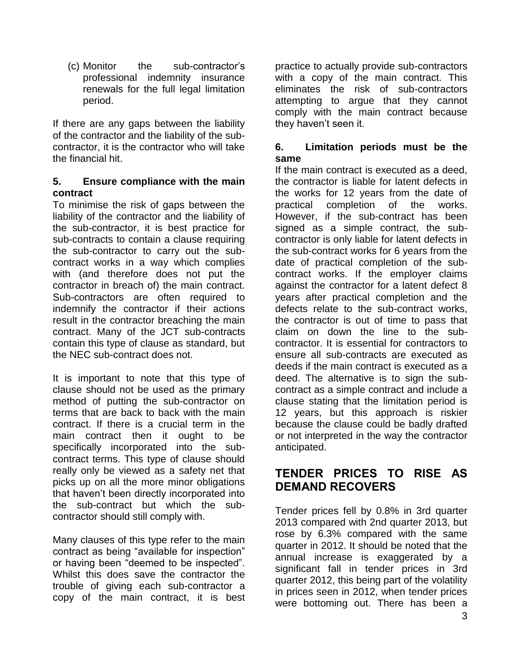(c) Monitor the sub-contractor's professional indemnity insurance renewals for the full legal limitation period.

If there are any gaps between the liability of the contractor and the liability of the subcontractor, it is the contractor who will take the financial hit.

#### **5. Ensure compliance with the main contract**

To minimise the risk of gaps between the liability of the contractor and the liability of the sub-contractor, it is best practice for sub-contracts to contain a clause requiring the sub-contractor to carry out the subcontract works in a way which complies with (and therefore does not put the contractor in breach of) the main contract. Sub-contractors are often required to indemnify the contractor if their actions result in the contractor breaching the main contract. Many of the JCT sub-contracts contain this type of clause as standard, but the NEC sub-contract does not.

It is important to note that this type of clause should not be used as the primary method of putting the sub-contractor on terms that are back to back with the main contract. If there is a crucial term in the main contract then it ought to be specifically incorporated into the subcontract terms. This type of clause should really only be viewed as a safety net that picks up on all the more minor obligations that haven't been directly incorporated into the sub-contract but which the subcontractor should still comply with.

Many clauses of this type refer to the main contract as being "available for inspection" or having been "deemed to be inspected". Whilst this does save the contractor the trouble of giving each sub-contractor a copy of the main contract, it is best practice to actually provide sub-contractors with a copy of the main contract. This eliminates the risk of sub-contractors attempting to argue that they cannot comply with the main contract because they haven't seen it.

#### **6. Limitation periods must be the same**

If the main contract is executed as a deed, the contractor is liable for latent defects in the works for 12 years from the date of practical completion of the works. However, if the sub-contract has been signed as a simple contract, the subcontractor is only liable for latent defects in the sub-contract works for 6 years from the date of practical completion of the subcontract works. If the employer claims against the contractor for a latent defect 8 years after practical completion and the defects relate to the sub-contract works, the contractor is out of time to pass that claim on down the line to the subcontractor. It is essential for contractors to ensure all sub-contracts are executed as deeds if the main contract is executed as a deed. The alternative is to sign the subcontract as a simple contract and include a clause stating that the limitation period is 12 years, but this approach is riskier because the clause could be badly drafted or not interpreted in the way the contractor anticipated.

## **TENDER PRICES TO RISE AS DEMAND RECOVERS**

Tender prices fell by 0.8% in 3rd quarter 2013 compared with 2nd quarter 2013, but rose by 6.3% compared with the same quarter in 2012. It should be noted that the annual increase is exaggerated by a significant fall in tender prices in 3rd quarter 2012, this being part of the volatility in prices seen in 2012, when tender prices were bottoming out. There has been a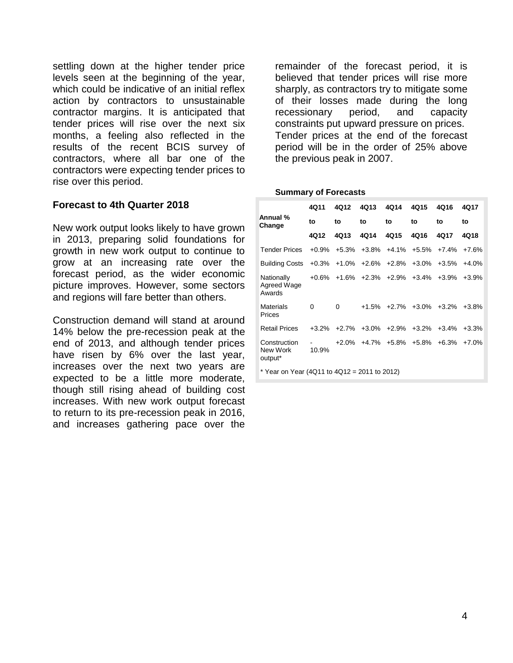settling down at the higher tender price levels seen at the beginning of the year, which could be indicative of an initial reflex action by contractors to unsustainable contractor margins. It is anticipated that tender prices will rise over the next six months, a feeling also reflected in the results of the recent BCIS survey of contractors, where all bar one of the contractors were expecting tender prices to rise over this period.

#### **Forecast to 4th Quarter 2018**

New work output looks likely to have grown in 2013, preparing solid foundations for growth in new work output to continue to grow at an increasing rate over the forecast period, as the wider economic picture improves. However, some sectors and regions will fare better than others.

Construction demand will stand at around 14% below the pre-recession peak at the end of 2013, and although tender prices have risen by 6% over the last year, increases over the next two years are expected to be a little more moderate, though still rising ahead of building cost increases. With new work output forecast to return to its pre-recession peak in 2016, and increases gathering pace over the

remainder of the forecast period, it is believed that tender prices will rise more sharply, as contractors try to mitigate some of their losses made during the long recessionary period, and capacity constraints put upward pressure on prices. Tender prices at the end of the forecast period will be in the order of 25% above the previous peak in 2007.

#### **Summary of Forecasts**

|                                                | 4Q11     | 4Q12                                | 4Q13 | 4Q14                                                  | 4Q15 | 4Q16        | 4Q17    |  |  |
|------------------------------------------------|----------|-------------------------------------|------|-------------------------------------------------------|------|-------------|---------|--|--|
| Annual %<br>Change                             | to       | to                                  | to   | to                                                    | to   | to          | to      |  |  |
|                                                | 4Q12     | 4Q13                                | 4Q14 | 4Q15                                                  | 4Q16 | 4Q17        | 4Q18    |  |  |
| <b>Tender Prices</b>                           |          |                                     |      | $+0.9\%$ $+5.3\%$ $+3.8\%$ $+4.1\%$ $+5.5\%$ $+7.4\%$ |      |             | +7.6%   |  |  |
| <b>Building Costs</b>                          |          |                                     |      | $+0.3\%$ $+1.0\%$ $+2.6\%$ $+2.8\%$ $+3.0\%$ $+3.5\%$ |      |             | $+4.0%$ |  |  |
| Nationally<br>Agreed Wage<br>Awards            |          |                                     |      | $+0.6\%$ $+1.6\%$ $+2.3\%$ $+2.9\%$ $+3.4\%$ $+3.9\%$ |      |             | $+3.9%$ |  |  |
| Materials<br>Prices                            | $\Omega$ | 0                                   |      | $+1.5\%$ $+2.7\%$ $+3.0\%$ $+3.2\%$ $+3.8\%$          |      |             |         |  |  |
| <b>Retail Prices</b>                           |          | $+3.2\%$ $+2.7\%$ $+3.0\%$ $+2.9\%$ |      |                                                       |      | +3.2% +3.4% | +3.3%   |  |  |
| Construction<br>New Work<br>output*            | 10.9%    |                                     |      | $+2.0\%$ $+4.7\%$ $+5.8\%$ $+5.8\%$ $+6.3\%$ $+7.0\%$ |      |             |         |  |  |
| * Year on Year (4Q11 to $4Q12 = 2011$ to 2012) |          |                                     |      |                                                       |      |             |         |  |  |